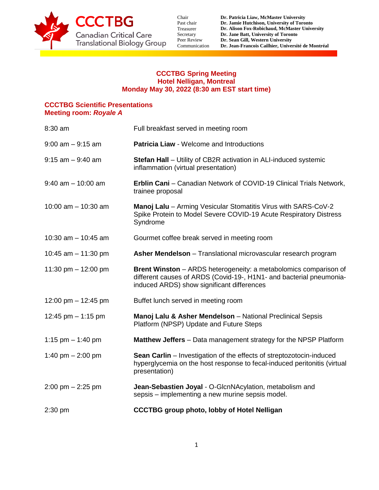

Chair Past chair Treasurer Secretary Peer Review Communication

## **CCCTBG Spring Meeting Hotel Nelligan, Montreal Monday May 30, 2022 (8:30 am EST start time)**

## **CCCTBG Scientific Presentations Meeting room:** *Royale A*

| 8:30 am               | Full breakfast served in meeting room                                                                                                                                                        |
|-----------------------|----------------------------------------------------------------------------------------------------------------------------------------------------------------------------------------------|
| $9:00$ am $-9:15$ am  | <b>Patricia Liaw - Welcome and Introductions</b>                                                                                                                                             |
| $9:15$ am $-9:40$ am  | <b>Stefan Hall</b> - Utility of CB2R activation in ALI-induced systemic<br>inflammation (virtual presentation)                                                                               |
| $9:40$ am $-10:00$ am | Erblin Cani - Canadian Network of COVID-19 Clinical Trials Network,<br>trainee proposal                                                                                                      |
| 10:00 am $-$ 10:30 am | Manoj Lalu - Arming Vesicular Stomatitis Virus with SARS-CoV-2<br>Spike Protein to Model Severe COVID-19 Acute Respiratory Distress<br>Syndrome                                              |
| 10:30 am $-$ 10:45 am | Gourmet coffee break served in meeting room                                                                                                                                                  |
| 10:45 am $-$ 11:30 pm | Asher Mendelson - Translational microvascular research program                                                                                                                               |
| 11:30 pm $-$ 12:00 pm | <b>Brent Winston</b> – ARDS heterogeneity: a metabolomics comparison of<br>different causes of ARDS (Covid-19-, H1N1- and bacterial pneumonia-<br>induced ARDS) show significant differences |
| 12:00 pm $-$ 12:45 pm | Buffet lunch served in meeting room                                                                                                                                                          |
| 12:45 pm $-$ 1:15 pm  | Manoj Lalu & Asher Mendelson - National Preclinical Sepsis<br>Platform (NPSP) Update and Future Steps                                                                                        |
| 1:15 pm $-$ 1:40 pm   | <b>Matthew Jeffers</b> - Data management strategy for the NPSP Platform                                                                                                                      |
| 1:40 pm $- 2:00$ pm   | <b>Sean Carlin</b> – Investigation of the effects of streptozotocin-induced<br>hyperglycemia on the host response to fecal-induced peritonitis (virtual<br>presentation)                     |
| $2:00$ pm $-2:25$ pm  | Jean-Sebastien Joyal - O-GlcnNAcylation, metabolism and<br>sepsis – implementing a new murine sepsis model.                                                                                  |
| $2:30$ pm             | <b>CCCTBG</b> group photo, lobby of Hotel Nelligan                                                                                                                                           |